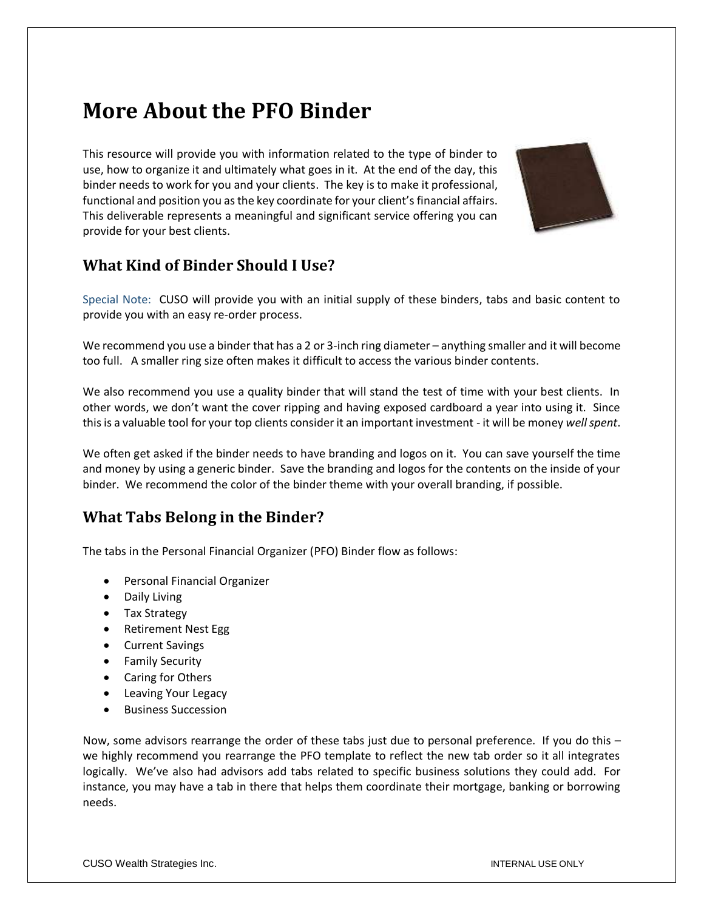# **More About the PFO Binder**

This resource will provide you with information related to the type of binder to use, how to organize it and ultimately what goes in it. At the end of the day, this binder needs to work for you and your clients. The key is to make it professional, functional and position you as the key coordinate for your client's financial affairs. This deliverable represents a meaningful and significant service offering you can provide for your best clients.



# **What Kind of Binder Should I Use?**

Special Note: CUSO will provide you with an initial supply of these binders, tabs and basic content to provide you with an easy re-order process.

We recommend you use a binder that has a 2 or 3-inch ring diameter – anything smaller and it will become too full. A smaller ring size often makes it difficult to access the various binder contents.

We also recommend you use a quality binder that will stand the test of time with your best clients. In other words, we don't want the cover ripping and having exposed cardboard a year into using it. Since this is a valuable tool for your top clients consider it an important investment - it will be money *well spent*.

We often get asked if the binder needs to have branding and logos on it. You can save yourself the time and money by using a generic binder. Save the branding and logos for the contents on the inside of your binder. We recommend the color of the binder theme with your overall branding, if possible.

# **What Tabs Belong in the Binder?**

The tabs in the Personal Financial Organizer (PFO) Binder flow as follows:

- Personal Financial Organizer
- Daily Living
- Tax Strategy
- Retirement Nest Egg
- Current Savings
- Family Security
- Caring for Others
- Leaving Your Legacy
- Business Succession

Now, some advisors rearrange the order of these tabs just due to personal preference. If you do this – we highly recommend you rearrange the PFO template to reflect the new tab order so it all integrates logically. We've also had advisors add tabs related to specific business solutions they could add. For instance, you may have a tab in there that helps them coordinate their mortgage, banking or borrowing needs.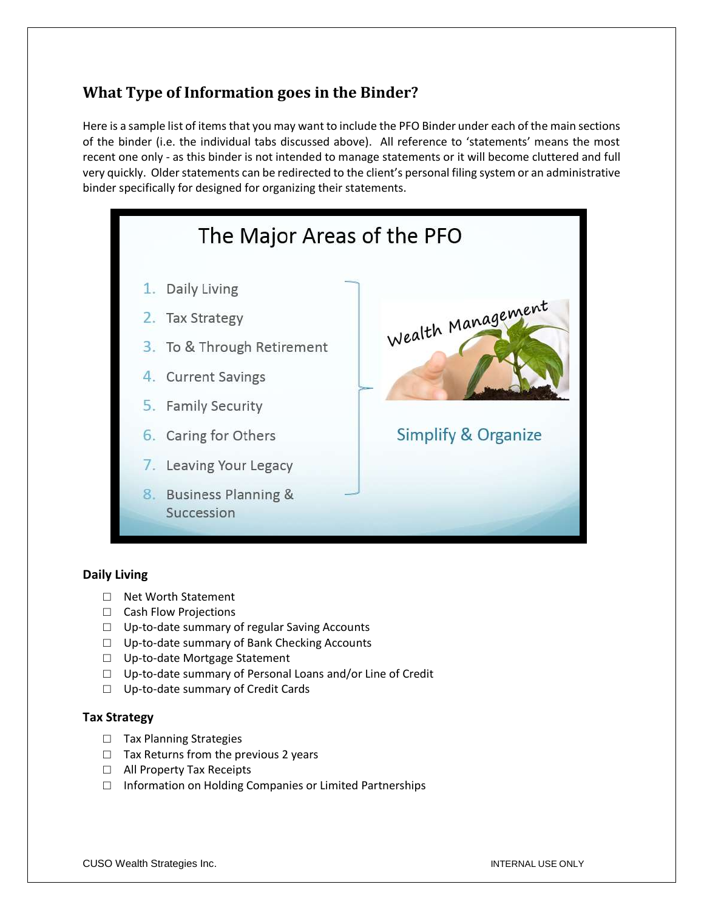# **What Type of Information goes in the Binder?**

Here is a sample list of items that you may want to include the PFO Binder under each of the main sections of the binder (i.e. the individual tabs discussed above). All reference to 'statements' means the most recent one only - as this binder is not intended to manage statements or it will become cluttered and full very quickly. Older statements can be redirected to the client's personal filing system or an administrative binder specifically for designed for organizing their statements.



## **Daily Living**

- □ Net Worth Statement
- □ Cash Flow Projections
- □ Up-to-date summary of regular Saving Accounts
- □ Up-to-date summary of Bank Checking Accounts
- □ Up-to-date Mortgage Statement
- □ Up-to-date summary of Personal Loans and/or Line of Credit
- □ Up-to-date summary of Credit Cards

## **Tax Strategy**

- □ Tax Planning Strategies
- $\Box$  Tax Returns from the previous 2 years
- □ All Property Tax Receipts
- □ Information on Holding Companies or Limited Partnerships